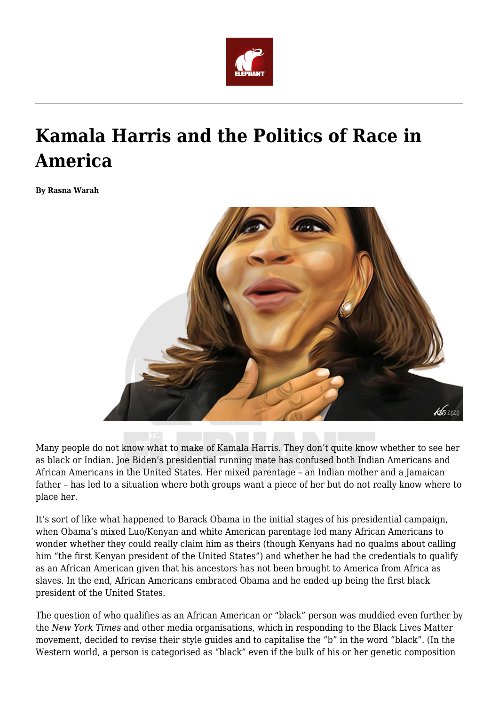

## **Kamala Harris and the Politics of Race in America**

**By Rasna Warah**



Many people do not know what to make of Kamala Harris. They don't quite know whether to see her as black or Indian. Joe Biden's presidential running mate has confused both Indian Americans and African Americans in the United States. Her mixed parentage – an Indian mother and a Jamaican father – has led to a situation where both groups want a piece of her but do not really know where to place her.

It's sort of like what happened to Barack Obama in the initial stages of his presidential campaign, when Obama's mixed Luo/Kenyan and white American parentage led many African Americans to wonder whether they could really claim him as theirs (though Kenyans had no qualms about calling him "the first Kenyan president of the United States") and whether he had the credentials to qualify as an African American given that his ancestors has not been brought to America from Africa as slaves. In the end, African Americans embraced Obama and he ended up being the first black president of the United States.

The question of who qualifies as an African American or "black" person was muddied even further by the *New York Times* and other media organisations, which in responding to the Black Lives Matter movement, decided to revise their style guides and to capitalise the "b" in the word "black". (In the Western world, a person is categorised as "black" even if the bulk of his or her genetic composition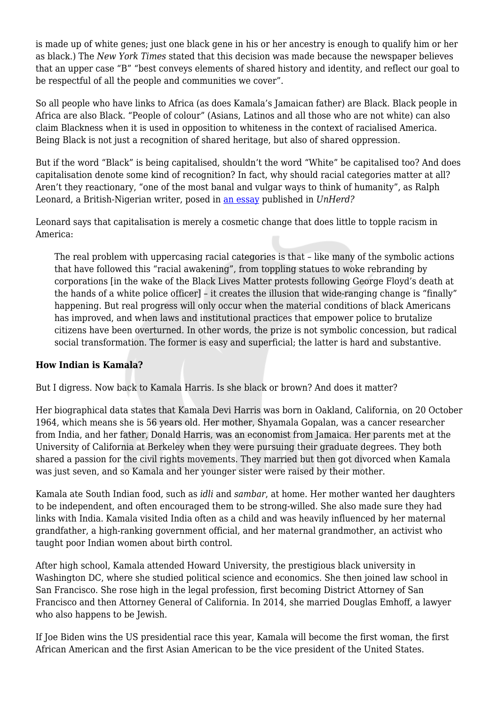is made up of white genes; just one black gene in his or her ancestry is enough to qualify him or her as black.) The *New York Times* stated that this decision was made because the newspaper believes that an upper case "B" "best conveys elements of shared history and identity, and reflect our goal to be respectful of all the people and communities we cover".

So all people who have links to Africa (as does Kamala's Jamaican father) are Black. Black people in Africa are also Black. "People of colour" (Asians, Latinos and all those who are not white) can also claim Blackness when it is used in opposition to whiteness in the context of racialised America. Being Black is not just a recognition of shared heritage, but also of shared oppression.

But if the word "Black" is being capitalised, shouldn't the word "White" be capitalised too? And does capitalisation denote some kind of recognition? In fact, why should racial categories matter at all? Aren't they reactionary, "one of the most banal and vulgar ways to think of humanity", as Ralph Leonard, a British-Nigerian writer, posed in [an essay](https://unherd.com/2020/08/why-racial-categories-are-reactionary/) published in *UnHerd?*

Leonard says that capitalisation is merely a cosmetic change that does little to topple racism in America:

The real problem with uppercasing racial categories is that – like many of the symbolic actions that have followed this "racial awakening", from toppling statues to woke rebranding by corporations [in the wake of the Black Lives Matter protests following George Floyd's death at the hands of a white police officer] – it creates the illusion that wide-ranging change is "finally" happening. But real progress will only occur when the material conditions of black Americans has improved, and when laws and institutional practices that empower police to brutalize citizens have been overturned. In other words, the prize is not symbolic concession, but radical social transformation. The former is easy and superficial; the latter is hard and substantive.

## **How Indian is Kamala?**

But I digress. Now back to Kamala Harris. Is she black or brown? And does it matter?

Her biographical data states that Kamala Devi Harris was born in Oakland, California, on 20 October 1964, which means she is 56 years old. Her mother, Shyamala Gopalan, was a cancer researcher from India, and her father, Donald Harris, was an economist from Jamaica. Her parents met at the University of California at Berkeley when they were pursuing their graduate degrees. They both shared a passion for the civil rights movements. They married but then got divorced when Kamala was just seven, and so Kamala and her younger sister were raised by their mother.

Kamala ate South Indian food, such as *idli* and *sambar*, at home. Her mother wanted her daughters to be independent, and often encouraged them to be strong-willed. She also made sure they had links with India. Kamala visited India often as a child and was heavily influenced by her maternal grandfather, a high-ranking government official, and her maternal grandmother, an activist who taught poor Indian women about birth control.

After high school, Kamala attended Howard University, the prestigious black university in Washington DC, where she studied political science and economics. She then joined law school in San Francisco. She rose high in the legal profession, first becoming District Attorney of San Francisco and then Attorney General of California. In 2014, she married Douglas Emhoff, a lawyer who also happens to be Jewish.

If Joe Biden wins the US presidential race this year, Kamala will become the first woman, the first African American and the first Asian American to be the vice president of the United States.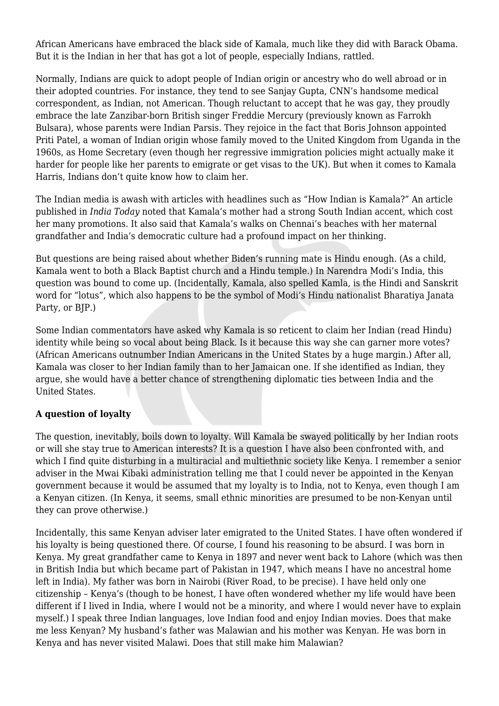African Americans have embraced the black side of Kamala, much like they did with Barack Obama. But it is the Indian in her that has got a lot of people, especially Indians, rattled.

Normally, Indians are quick to adopt people of Indian origin or ancestry who do well abroad or in their adopted countries. For instance, they tend to see Sanjay Gupta, CNN's handsome medical correspondent, as Indian, not American. Though reluctant to accept that he was gay, they proudly embrace the late Zanzibar-born British singer Freddie Mercury (previously known as Farrokh Bulsara), whose parents were Indian Parsis. They rejoice in the fact that Boris Johnson appointed Priti Patel, a woman of Indian origin whose family moved to the United Kingdom from Uganda in the 1960s, as Home Secretary (even though her regressive immigration policies might actually make it harder for people like her parents to emigrate or get visas to the UK). But when it comes to Kamala Harris, Indians don't quite know how to claim her.

The Indian media is awash with articles with headlines such as "How Indian is Kamala?" An article published in *India Today* noted that Kamala's mother had a strong South Indian accent, which cost her many promotions. It also said that Kamala's walks on Chennai's beaches with her maternal grandfather and India's democratic culture had a profound impact on her thinking.

But questions are being raised about whether Biden's running mate is Hindu enough. (As a child, Kamala went to both a Black Baptist church and a Hindu temple.) In Narendra Modi's India, this question was bound to come up. (Incidentally, Kamala, also spelled Kamla, is the Hindi and Sanskrit word for "lotus", which also happens to be the symbol of Modi's Hindu nationalist Bharatiya Janata Party, or BIP.)

Some Indian commentators have asked why Kamala is so reticent to claim her Indian (read Hindu) identity while being so vocal about being Black. Is it because this way she can garner more votes? (African Americans outnumber Indian Americans in the United States by a huge margin.) After all, Kamala was closer to her Indian family than to her Jamaican one. If she identified as Indian, they argue, she would have a better chance of strengthening diplomatic ties between India and the United States.

## **A question of loyalty**

The question, inevitably, boils down to loyalty. Will Kamala be swayed politically by her Indian roots or will she stay true to American interests? It is a question I have also been confronted with, and which I find quite disturbing in a multiracial and multiethnic society like Kenya. I remember a senior adviser in the Mwai Kibaki administration telling me that I could never be appointed in the Kenyan government because it would be assumed that my loyalty is to India, not to Kenya, even though I am a Kenyan citizen. (In Kenya, it seems, small ethnic minorities are presumed to be non-Kenyan until they can prove otherwise.)

Incidentally, this same Kenyan adviser later emigrated to the United States. I have often wondered if his loyalty is being questioned there. Of course, I found his reasoning to be absurd. I was born in Kenya. My great grandfather came to Kenya in 1897 and never went back to Lahore (which was then in British India but which became part of Pakistan in 1947, which means I have no ancestral home left in India). My father was born in Nairobi (River Road, to be precise). I have held only one citizenship – Kenya's (though to be honest, I have often wondered whether my life would have been different if I lived in India, where I would not be a minority, and where I would never have to explain myself.) I speak three Indian languages, love Indian food and enjoy Indian movies. Does that make me less Kenyan? My husband's father was Malawian and his mother was Kenyan. He was born in Kenya and has never visited Malawi. Does that still make him Malawian?